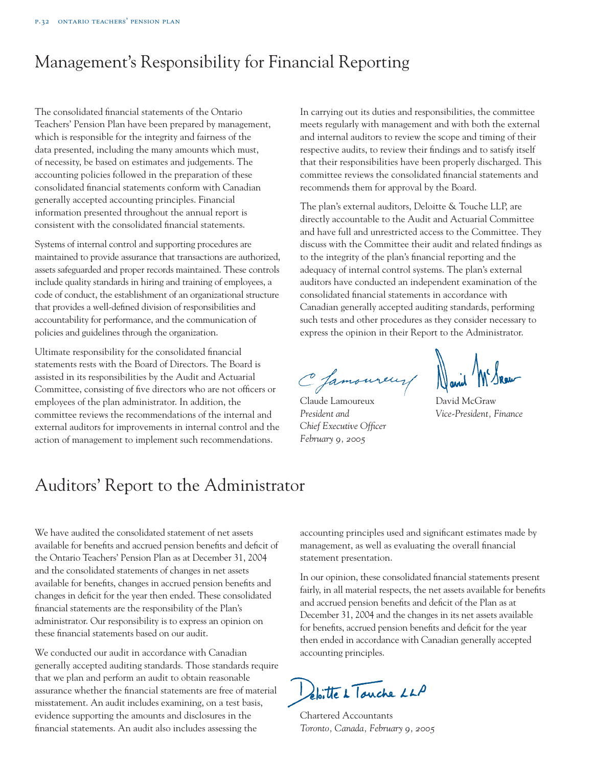# Management's Responsibility for Financial Reporting

The consolidated financial statements of the Ontario Teachers' Pension Plan have been prepared by management, which is responsible for the integrity and fairness of the data presented, including the many amounts which must, of necessity, be based on estimates and judgements. The accounting policies followed in the preparation of these consolidated financial statements conform with Canadian generally accepted accounting principles. Financial information presented throughout the annual report is consistent with the consolidated financial statements.

Systems of internal control and supporting procedures are maintained to provide assurance that transactions are authorized, assets safeguarded and proper records maintained. These controls include quality standards in hiring and training of employees, a code of conduct, the establishment of an organizational structure that provides a well-defined division of responsibilities and accountability for performance, and the communication of policies and guidelines through the organization.

Ultimate responsibility for the consolidated financial statements rests with the Board of Directors. The Board is assisted in its responsibilities by the Audit and Actuarial Committee, consisting of five directors who are not officers or employees of the plan administrator. In addition, the committee reviews the recommendations of the internal and external auditors for improvements in internal control and the action of management to implement such recommendations.

In carrying out its duties and responsibilities, the committee meets regularly with management and with both the external and internal auditors to review the scope and timing of their respective audits, to review their findings and to satisfy itself that their responsibilities have been properly discharged. This committee reviews the consolidated financial statements and recommends them for approval by the Board.

The plan's external auditors, Deloitte & Touche LLP, are directly accountable to the Audit and Actuarial Committee and have full and unrestricted access to the Committee. They discuss with the Committee their audit and related findings as to the integrity of the plan's financial reporting and the adequacy of internal control systems. The plan's external auditors have conducted an independent examination of the consolidated financial statements in accordance with Canadian generally accepted auditing standards, performing such tests and other procedures as they consider necessary to express the opinion in their Report to the Administrator.

Chamoureur David Mr Snew

Claude Lamoureux David McGraw *President and Vice-President, Finance Chief Executive Officer February 9, 2005*

# Auditors' Report to the Administrator

We have audited the consolidated statement of net assets available for benefits and accrued pension benefits and deficit of the Ontario Teachers' Pension Plan as at December 31, 2004 and the consolidated statements of changes in net assets available for benefits, changes in accrued pension benefits and changes in deficit for the year then ended. These consolidated financial statements are the responsibility of the Plan's administrator. Our responsibility is to express an opinion on these financial statements based on our audit.

We conducted our audit in accordance with Canadian generally accepted auditing standards. Those standards require that we plan and perform an audit to obtain reasonable assurance whether the financial statements are free of material misstatement. An audit includes examining, on a test basis, evidence supporting the amounts and disclosures in the financial statements. An audit also includes assessing the

accounting principles used and significant estimates made by management, as well as evaluating the overall financial statement presentation.

In our opinion, these consolidated financial statements present fairly, in all material respects, the net assets available for benefits and accrued pension benefits and deficit of the Plan as at December 31, 2004 and the changes in its net assets available for benefits, accrued pension benefits and deficit for the year then ended in accordance with Canadian generally accepted accounting principles.

Deloitte 1 Tauche LLP

Chartered Accountants *Toronto, Canada, February 9, 2005*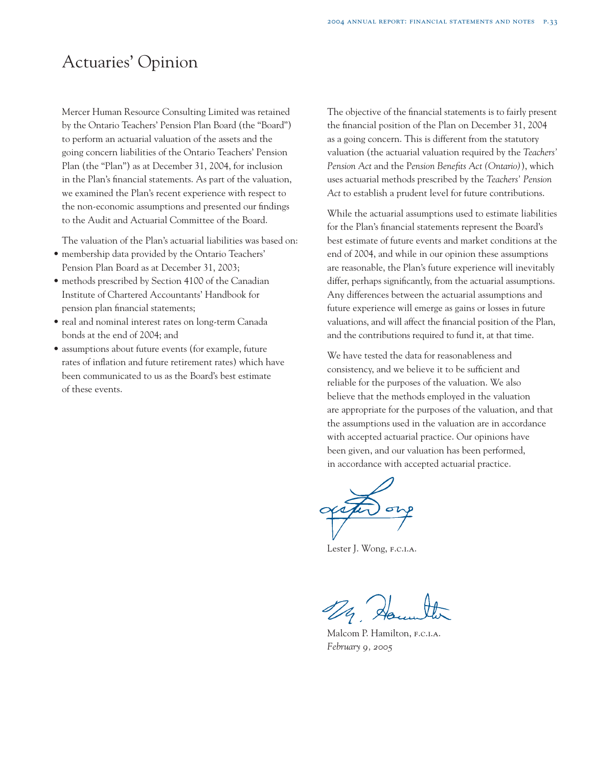# Actuaries' Opinion

Mercer Human Resource Consulting Limited was retained by the Ontario Teachers' Pension Plan Board (the "Board") to perform an actuarial valuation of the assets and the going concern liabilities of the Ontario Teachers' Pension Plan (the "Plan") as at December 31, 2004, for inclusion in the Plan's financial statements. As part of the valuation, we examined the Plan's recent experience with respect to the non-economic assumptions and presented our findings to the Audit and Actuarial Committee of the Board.

The valuation of the Plan's actuarial liabilities was based on:

- membership data provided by the Ontario Teachers' Pension Plan Board as at December 31, 2003;
- methods prescribed by Section 4100 of the Canadian Institute of Chartered Accountants' Handbook for pension plan financial statements;
- real and nominal interest rates on long-term Canada bonds at the end of 2004; and
- assumptions about future events (for example, future rates of inflation and future retirement rates) which have been communicated to us as the Board's best estimate of these events.

The objective of the financial statements is to fairly present the financial position of the Plan on December 31, 2004 as a going concern. This is different from the statutory valuation (the actuarial valuation required by the *Teachers' Pension Act* and the P*ension Benefits Act (Ontario)*), which uses actuarial methods prescribed by the *Teachers' Pension Act* to establish a prudent level for future contributions.

While the actuarial assumptions used to estimate liabilities for the Plan's financial statements represent the Board's best estimate of future events and market conditions at the end of 2004, and while in our opinion these assumptions are reasonable, the Plan's future experience will inevitably differ, perhaps significantly, from the actuarial assumptions. Any differences between the actuarial assumptions and future experience will emerge as gains or losses in future valuations, and will affect the financial position of the Plan, and the contributions required to fund it, at that time.

We have tested the data for reasonableness and consistency, and we believe it to be sufficient and reliable for the purposes of the valuation. We also believe that the methods employed in the valuation are appropriate for the purposes of the valuation, and that the assumptions used in the valuation are in accordance with accepted actuarial practice. Our opinions have been given, and our valuation has been performed, in accordance with accepted actuarial practice.

Lester J. Wong, F.C.I.A.

Malcom P. Hamilton, F.C.I.A. *February 9, 2005*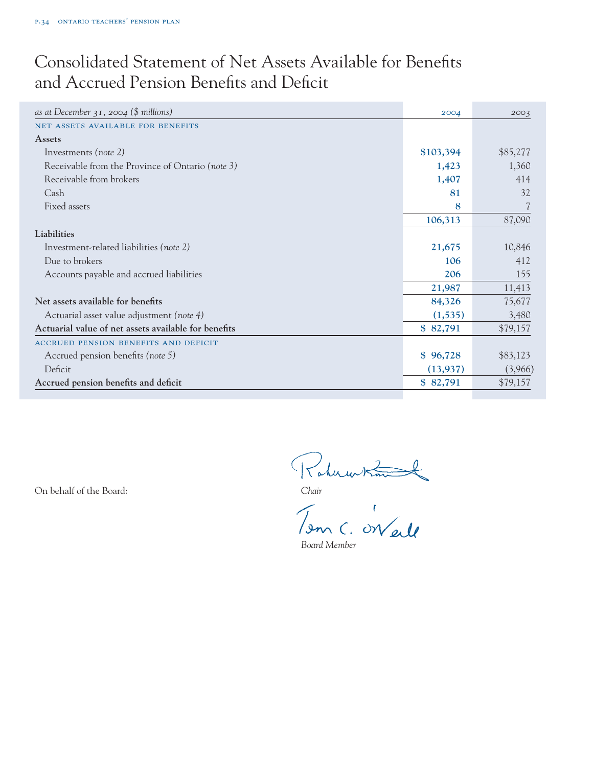# Consolidated Statement of Net Assets Available for Benefits and Accrued Pension Benefits and Deficit

| as at December $31$ , 2004 (\$ millions)             | 2004      | 2003     |
|------------------------------------------------------|-----------|----------|
| NET ASSETS AVAILABLE FOR BENEFITS                    |           |          |
| <b>Assets</b>                                        |           |          |
| Investments (note 2)                                 | \$103,394 | \$85,277 |
| Receivable from the Province of Ontario (note 3)     | 1,423     | 1,360    |
| Receivable from brokers                              | 1,407     | 414      |
| Cash                                                 | 81        | 32       |
| Fixed assets                                         | 8         |          |
|                                                      | 106,313   | 87,090   |
| Liabilities                                          |           |          |
| Investment-related liabilities (note 2)              | 21,675    | 10,846   |
| Due to brokers                                       | 106       | 412      |
| Accounts payable and accrued liabilities             | 206       | 155      |
|                                                      | 21,987    | 11,413   |
| Net assets available for benefits                    | 84,326    | 75,677   |
| Actuarial asset value adjustment (note 4)            | (1, 535)  | 3,480    |
| Actuarial value of net assets available for benefits | \$82,791  | \$79,157 |
| <b>ACCRUED PENSION BENEFITS AND DEFICIT</b>          |           |          |
| Accrued pension benefits (note 5)                    | \$96,728  | \$83,123 |
| Deficit                                              | (13, 937) | (3,966)  |
| Accrued pension benefits and deficit                 | \$82,791  | \$79,157 |
|                                                      |           |          |

On behalf of the Board:<br>
Chair<br>
Tenn C. On ell

*Board Member*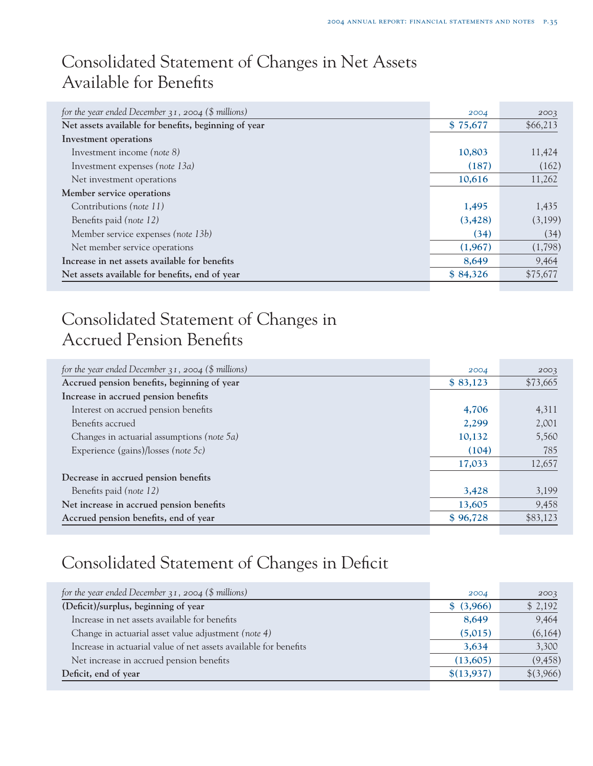# Consolidated Statement of Changes in Net Assets Available for Benefits

| for the year ended December $31$ , 2004 (\$ millions) | 2004     | 2003     |
|-------------------------------------------------------|----------|----------|
| Net assets available for benefits, beginning of year  | \$75,677 | \$66,213 |
| Investment operations                                 |          |          |
| Investment income (note 8)                            | 10,803   | 11,424   |
| Investment expenses (note 13a)                        | (187)    | (162)    |
| Net investment operations                             | 10,616   | 11,262   |
| Member service operations                             |          |          |
| Contributions (note 11)                               | 1,495    | 1,435    |
| Benefits paid (note 12)                               | (3, 428) | (3,199)  |
| Member service expenses (note 13b)                    | (34)     | (34)     |
| Net member service operations                         | (1,967)  | (1,798)  |
| Increase in net assets available for benefits         | 8,649    | 9,464    |
| Net assets available for benefits, end of year        | \$84,326 | \$75,677 |

# Consolidated Statement of Changes in Accrued Pension Benefits

| for the year ended December $31$ , 2004 (\$ millions) | 2004     | 2003     |
|-------------------------------------------------------|----------|----------|
| Accrued pension benefits, beginning of year           | \$83,123 | \$73,665 |
| Increase in accrued pension benefits                  |          |          |
| Interest on accrued pension benefits                  | 4,706    | 4,311    |
| Benefits accrued                                      | 2,299    | 2,001    |
| Changes in actuarial assumptions (note $5a$ )         | 10,132   | 5,560    |
| Experience (gains)/losses (note $5c$ )                | (104)    | 785      |
|                                                       | 17,033   | 12,657   |
| Decrease in accrued pension benefits                  |          |          |
| Benefits paid (note 12)                               | 3,428    | 3,199    |
| Net increase in accrued pension benefits              | 13,605   | 9,458    |
| Accrued pension benefits, end of year                 | \$96,728 | \$83,123 |

# Consolidated Statement of Changes in Deficit

| for the year ended December $31$ , 2004 (\$ millions)            | 2004       | 2003      |
|------------------------------------------------------------------|------------|-----------|
| (Deficit)/surplus, beginning of year                             | \$ (3,966) | \$2,192   |
| Increase in net assets available for benefits                    | 8,649      | 9,464     |
| Change in actuarial asset value adjustment (note 4)              | (5,015)    | (6,164)   |
| Increase in actuarial value of net assets available for benefits | 3,634      | 3,300     |
| Net increase in accrued pension benefits                         | (13,605)   | (9, 458)  |
| Deficit, end of year                                             | \$(13,937) | \$(3,966) |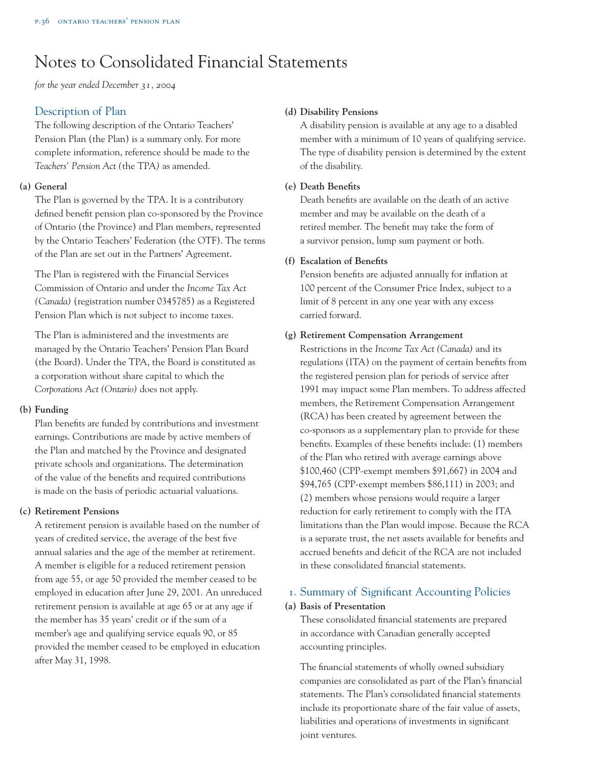# Notes to Consolidated Financial Statements

*for the year ended December 31, 2004*

# Description of Plan

The following description of the Ontario Teachers' Pension Plan (the Plan) is a summary only. For more complete information, reference should be made to the *Teachers' Pension Act (*the TPA*)* as amended.

# **(a) General**

The Plan is governed by the TPA. It is a contributory defined benefit pension plan co-sponsored by the Province of Ontario (the Province) and Plan members, represented by the Ontario Teachers' Federation (the OTF). The terms of the Plan are set out in the Partners' Agreement.

The Plan is registered with the Financial Services Commission of Ontario and under the *Income Tax Act (Canada)* (registration number 0345785) as a Registered Pension Plan which is not subject to income taxes.

The Plan is administered and the investments are managed by the Ontario Teachers' Pension Plan Board (the Board). Under the TPA, the Board is constituted as a corporation without share capital to which the *Corporations Act (Ontario)* does not apply.

#### **(b) Funding**

Plan benefits are funded by contributions and investment earnings. Contributions are made by active members of the Plan and matched by the Province and designated private schools and organizations. The determination of the value of the benefits and required contributions is made on the basis of periodic actuarial valuations.

#### **(c) Retirement Pensions**

A retirement pension is available based on the number of years of credited service, the average of the best five annual salaries and the age of the member at retirement. A member is eligible for a reduced retirement pension from age 55, or age 50 provided the member ceased to be employed in education after June 29, 2001. An unreduced retirement pension is available at age 65 or at any age if the member has 35 years' credit or if the sum of a member's age and qualifying service equals 90, or 85 provided the member ceased to be employed in education after May 31, 1998.

### **(d) Disability Pensions**

A disability pension is available at any age to a disabled member with a minimum of 10 years of qualifying service. The type of disability pension is determined by the extent of the disability.

### **(e) Death Benefits**

Death benefits are available on the death of an active member and may be available on the death of a retired member. The benefit may take the form of a survivor pension, lump sum payment or both.

### **(f) Escalation of Benefits**

Pension benefits are adjusted annually for inflation at 100 percent of the Consumer Price Index, subject to a limit of 8 percent in any one year with any excess carried forward.

### **(g) Retirement Compensation Arrangement**

Restrictions in the *Income Tax Act (Canada)* and its regulations (ITA) on the payment of certain benefits from the registered pension plan for periods of service after 1991 may impact some Plan members. To address affected members, the Retirement Compensation Arrangement (RCA) has been created by agreement between the co-sponsors as a supplementary plan to provide for these benefits. Examples of these benefits include: (1) members of the Plan who retired with average earnings above \$100,460 (CPP-exempt members \$91,667) in 2004 and \$94,765 (CPP-exempt members \$86,111) in 2003; and (2) members whose pensions would require a larger reduction for early retirement to comply with the ITA limitations than the Plan would impose. Because the RCA is a separate trust, the net assets available for benefits and accrued benefits and deficit of the RCA are not included in these consolidated financial statements.

# 1. Summary of Significant Accounting Policies **(a) Basis of Presentation**

These consolidated financial statements are prepared in accordance with Canadian generally accepted accounting principles.

The financial statements of wholly owned subsidiary companies are consolidated as part of the Plan's financial statements. The Plan's consolidated financial statements include its proportionate share of the fair value of assets, liabilities and operations of investments in significant joint ventures.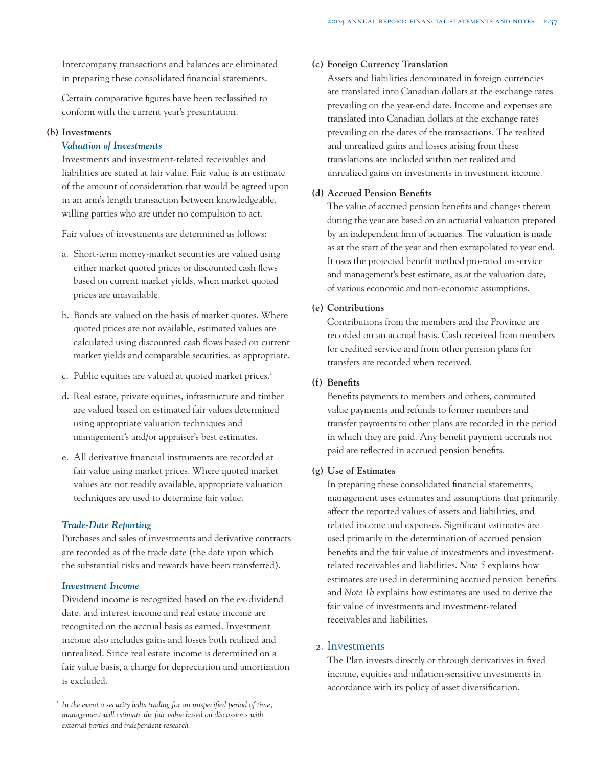Intercompany transactions and balances are eliminated in preparing these consolidated financial statements.

Certain comparative figures have been reclassified to conform with the current year's presentation.

### **(b) Investments**

#### *Valuation of Investments*

Investments and investment-related receivables and liabilities are stated at fair value. Fair value is an estimate of the amount of consideration that would be agreed upon in an arm's length transaction between knowledgeable, willing parties who are under no compulsion to act.

Fair values of investments are determined as follows:

- a. Short-term money-market securities are valued using either market quoted prices or discounted cash flows based on current market yields, when market quoted prices are unavailable.
- b. Bonds are valued on the basis of market quotes. Where quoted prices are not available, estimated values are calculated using discounted cash flows based on current market yields and comparable securities, as appropriate.
- c. Public equities are valued at quoted market prices.<sup>1</sup>
- d. Real estate, private equities, infrastructure and timber are valued based on estimated fair values determined using appropriate valuation techniques and management's and/or appraiser's best estimates.
- e. All derivative financial instruments are recorded at fair value using market prices. Where quoted market values are not readily available, appropriate valuation techniques are used to determine fair value.

#### *Trade-Date Reporting*

Purchases and sales of investments and derivative contracts are recorded as of the trade date (the date upon which the substantial risks and rewards have been transferred).

# *Investment Income*

Dividend income is recognized based on the ex-dividend date, and interest income and real estate income are recognized on the accrual basis as earned. Investment income also includes gains and losses both realized and unrealized. Since real estate income is determined on a fair value basis, a charge for depreciation and amortization is excluded.

### **(c) Foreign Currency Translation**

Assets and liabilities denominated in foreign currencies are translated into Canadian dollars at the exchange rates prevailing on the year-end date. Income and expenses are translated into Canadian dollars at the exchange rates prevailing on the dates of the transactions. The realized and unrealized gains and losses arising from these translations are included within net realized and unrealized gains on investments in investment income.

#### **(d) Accrued Pension Benefits**

The value of accrued pension benefits and changes therein during the year are based on an actuarial valuation prepared by an independent firm of actuaries. The valuation is made as at the start of the year and then extrapolated to year end. It uses the projected benefit method pro-rated on service and management's best estimate, as at the valuation date, of various economic and non-economic assumptions.

#### **(e) Contributions**

Contributions from the members and the Province are recorded on an accrual basis. Cash received from members for credited service and from other pension plans for transfers are recorded when received.

## **(f) Benefits**

Benefits payments to members and others, commuted value payments and refunds to former members and transfer payments to other plans are recorded in the period in which they are paid. Any benefit payment accruals not paid are reflected in accrued pension benefits.

#### **(g) Use of Estimates**

In preparing these consolidated financial statements, management uses estimates and assumptions that primarily affect the reported values of assets and liabilities, and related income and expenses. Significant estimates are used primarily in the determination of accrued pension benefits and the fair value of investments and investmentrelated receivables and liabilities. *Note 5* explains how estimates are used in determining accrued pension benefits and *Note 1b* explains how estimates are used to derive the fair value of investments and investment-related receivables and liabilities.

#### 2. Investments

The Plan invests directly or through derivatives in fixed income, equities and inflation-sensitive investments in accordance with its policy of asset diversification.

*<sup>1</sup> In the event a security halts trading for an unspecified period of time, management will estimate the fair value based on discussions with external parties and independent research.*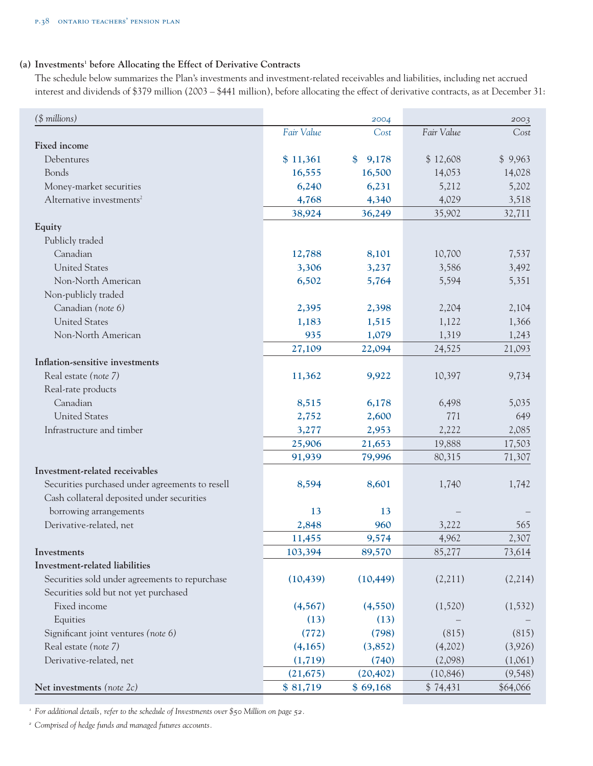## **(a) Investments1 before Allocating the Effect of Derivative Contracts**

The schedule below summarizes the Plan's investments and investment-related receivables and liabilities, including net accrued interest and dividends of \$379 million (2003 – \$441 million), before allocating the effect of derivative contracts, as at December 31:

| (\$ millions)                                   |            | 2004                   |            | 2003     |
|-------------------------------------------------|------------|------------------------|------------|----------|
|                                                 | Fair Value | Cost                   | Fair Value | Cost     |
| <b>Fixed income</b>                             |            |                        |            |          |
| Debentures                                      | \$11,361   | 9,178<br>$\mathbf{\$}$ | \$12,608   | \$9,963  |
| Bonds                                           | 16,555     | 16,500                 | 14,053     | 14,028   |
| Money-market securities                         | 6,240      | 6,231                  | 5,212      | 5,202    |
| Alternative investments <sup>2</sup>            | 4,768      | 4,340                  | 4,029      | 3,518    |
|                                                 | 38,924     | 36,249                 | 35,902     | 32,711   |
| Equity                                          |            |                        |            |          |
| Publicly traded                                 |            |                        |            |          |
| Canadian                                        | 12,788     | 8,101                  | 10,700     | 7,537    |
| <b>United States</b>                            | 3,306      | 3,237                  | 3,586      | 3,492    |
| Non-North American                              | 6,502      | 5,764                  | 5,594      | 5,351    |
| Non-publicly traded                             |            |                        |            |          |
| Canadian (note 6)                               | 2,395      | 2,398                  | 2,204      | 2,104    |
| <b>United States</b>                            | 1,183      | 1,515                  | 1,122      | 1,366    |
| Non-North American                              | 935        | 1,079                  | 1,319      | 1,243    |
|                                                 | 27,109     | 22,094                 | 24,525     | 21,093   |
| Inflation-sensitive investments                 |            |                        |            |          |
| Real estate (note 7)                            | 11,362     | 9,922                  | 10,397     | 9,734    |
| Real-rate products                              |            |                        |            |          |
| Canadian                                        | 8,515      | 6,178                  | 6,498      | 5,035    |
| <b>United States</b>                            | 2,752      | 2,600                  | 771        | 649      |
| Infrastructure and timber                       | 3,277      | 2,953                  | 2,222      | 2,085    |
|                                                 | 25,906     | 21,653                 | 19,888     | 17,503   |
|                                                 | 91,939     | 79,996                 | 80,315     | 71,307   |
| Investment-related receivables                  |            |                        |            |          |
| Securities purchased under agreements to resell | 8,594      | 8,601                  | 1,740      | 1,742    |
| Cash collateral deposited under securities      |            |                        |            |          |
| borrowing arrangements                          | 13         | 13                     |            |          |
| Derivative-related, net                         | 2,848      | 960                    | 3,222      | 565      |
|                                                 | 11,455     | 9,574                  | 4,962      | 2,307    |
| Investments                                     | 103,394    | 89,570                 | 85,277     | 73,614   |
| Investment-related liabilities                  |            |                        |            |          |
| Securities sold under agreements to repurchase  | (10, 439)  | (10, 449)              | (2,211)    | (2,214)  |
| Securities sold but not yet purchased           |            |                        |            |          |
| Fixed income                                    | (4, 567)   | (4, 550)               | (1,520)    | (1, 532) |
| Equities                                        | (13)       | (13)                   |            |          |
| Significant joint ventures (note 6)             | (772)      | (798)                  | (815)      | (815)    |
| Real estate (note 7)                            | (4,165)    | (3,852)                | (4,202)    | (3,926)  |
| Derivative-related, net                         | (1, 719)   | (740)                  | (2,098)    | (1,061)  |
|                                                 | (21, 675)  | (20, 402)              | (10, 846)  | (9, 548) |
| Net investments (note 2c)                       | \$81,719   | \$69,168               | \$74,431   | \$64,066 |
|                                                 |            |                        |            |          |

*<sup>1</sup> For additional details, refer to the schedule of Investments over \$50 Million on page 52.*

*<sup>2</sup> Comprised of hedge funds and managed futures accounts.*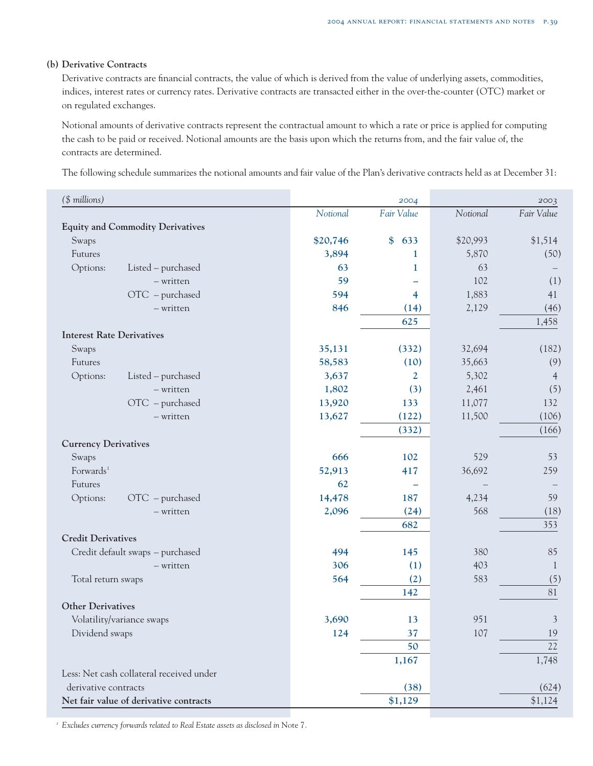#### **(b) Derivative Contracts**

Derivative contracts are financial contracts, the value of which is derived from the value of underlying assets, commodities, indices, interest rates or currency rates. Derivative contracts are transacted either in the over-the-counter (OTC) market or on regulated exchanges.

Notional amounts of derivative contracts represent the contractual amount to which a rate or price is applied for computing the cash to be paid or received. Notional amounts are the basis upon which the returns from, and the fair value of, the contracts are determined.

The following schedule summarizes the notional amounts and fair value of the Plan's derivative contracts held as at December 31:

| (\$ millions)                            |          | 2004                 |          | 2003           |
|------------------------------------------|----------|----------------------|----------|----------------|
|                                          | Notional | Fair Value           | Notional | Fair Value     |
| <b>Equity and Commodity Derivatives</b>  |          |                      |          |                |
| Swaps                                    | \$20,746 | $\frac{1}{2}$<br>633 | \$20,993 | \$1,514        |
| Futures                                  | 3,894    | 1                    | 5,870    | (50)           |
| Options:<br>Listed – purchased           | 63       | 1                    | 63       |                |
| - written                                | 59       |                      | 102      | (1)            |
| OTC - purchased                          | 594      | $\overline{4}$       | 1,883    | 41             |
| - written                                | 846      | (14)                 | 2,129    | (46)           |
|                                          |          | 625                  |          | 1,458          |
| <b>Interest Rate Derivatives</b>         |          |                      |          |                |
| Swaps                                    | 35,131   | (332)                | 32,694   | (182)          |
| Futures                                  | 58,583   | (10)                 | 35,663   | (9)            |
| Options:<br>Listed - purchased           | 3,637    | $\overline{2}$       | 5,302    | $\overline{4}$ |
| - written                                | 1,802    | (3)                  | 2,461    | (5)            |
| $\text{OTC}$ – purchased                 | 13,920   | 133                  | 11,077   | 132            |
| - written                                | 13,627   | (122)                | 11,500   | (106)          |
|                                          |          | (332)                |          | (166)          |
| <b>Currency Derivatives</b>              |          |                      |          |                |
| Swaps                                    | 666      | 102                  | 529      | 53             |
| Forwards <sup>1</sup>                    | 52,913   | 417                  | 36,692   | 259            |
| Futures                                  | 62       |                      |          |                |
| Options:<br>$OTC$ – purchased            | 14,478   | 187                  | 4,234    | 59             |
| - written                                | 2,096    | (24)                 | 568      | (18)           |
|                                          |          | 682                  |          | 353            |
| <b>Credit Derivatives</b>                |          |                      |          |                |
| Credit default swaps - purchased         | 494      | 145                  | 380      | 85             |
| - written                                | 306      | (1)                  | 403      | 1              |
| Total return swaps                       | 564      | (2)                  | 583      | (5)            |
|                                          |          | 142                  |          | 81             |
| <b>Other Derivatives</b>                 |          |                      |          |                |
| Volatility/variance swaps                | 3,690    | 13                   | 951      | $\mathfrak{Z}$ |
| Dividend swaps                           | 124      | 37                   | 107      | 19             |
|                                          |          | 50                   |          | 22             |
|                                          |          | 1,167                |          | 1,748          |
| Less: Net cash collateral received under |          |                      |          |                |
| derivative contracts                     |          | (38)                 |          | (624)          |
| Net fair value of derivative contracts   |          | \$1,129              |          | \$1,124        |

<sup>1</sup> Excludes currency forwards related to Real Estate assets as disclosed in Note 7.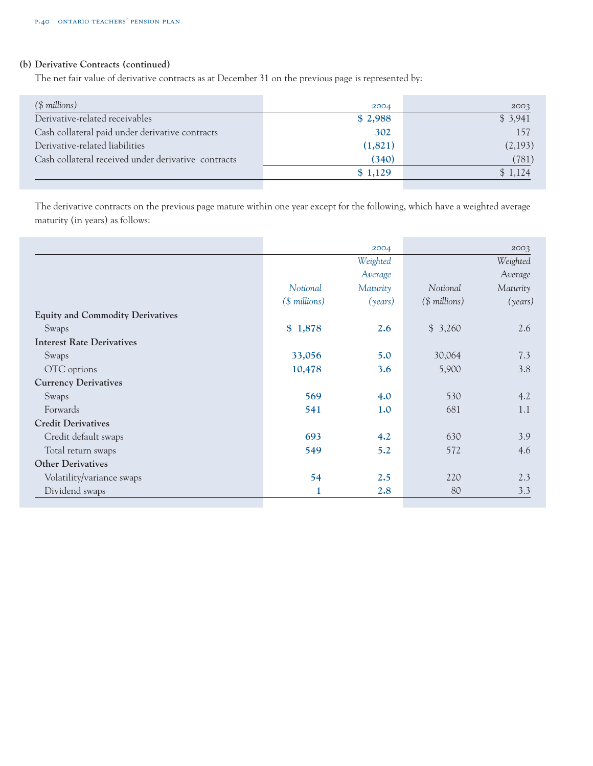# **(b) Derivative Contracts (continued)**

The net fair value of derivative contracts as at December 31 on the previous page is represented by:

| $($$ millions)                                      | 2004    | 2003    |
|-----------------------------------------------------|---------|---------|
| Derivative-related receivables                      | \$2,988 | \$3,941 |
| Cash collateral paid under derivative contracts     | 302     | 157     |
| Derivative-related liabilities                      | (1,821) | (2,193) |
| Cash collateral received under derivative contracts | (340)   | (781)   |
|                                                     | \$1,129 | \$1,124 |
|                                                     |         |         |

The derivative contracts on the previous page mature within one year except for the following, which have a weighted average maturity (in years) as follows:

|                | 2004     |                | 2003     |
|----------------|----------|----------------|----------|
|                | Weighted |                | Weighted |
|                | Average  |                | Average  |
| Notional       | Maturity | Notional       | Maturity |
| $($$ millions) | (years)  | $($$ millions) | (years)  |
|                |          |                |          |
| \$1,878        | 2.6      | \$3,260        | 2.6      |
|                |          |                |          |
| 33,056         | 5.0      | 30,064         | 7.3      |
| 10,478         | 3.6      | 5,900          | 3.8      |
|                |          |                |          |
| 569            | 4.0      | 530            | 4.2      |
| 541            | 1.0      | 681            | 1.1      |
|                |          |                |          |
| 693            | 4.2      | 630            | 3.9      |
| 549            | 5.2      | 572            | 4.6      |
|                |          |                |          |
| 54             | 2.5      | 220            | 2.3      |
| 1              | 2.8      | 80             | 3.3      |
|                |          |                |          |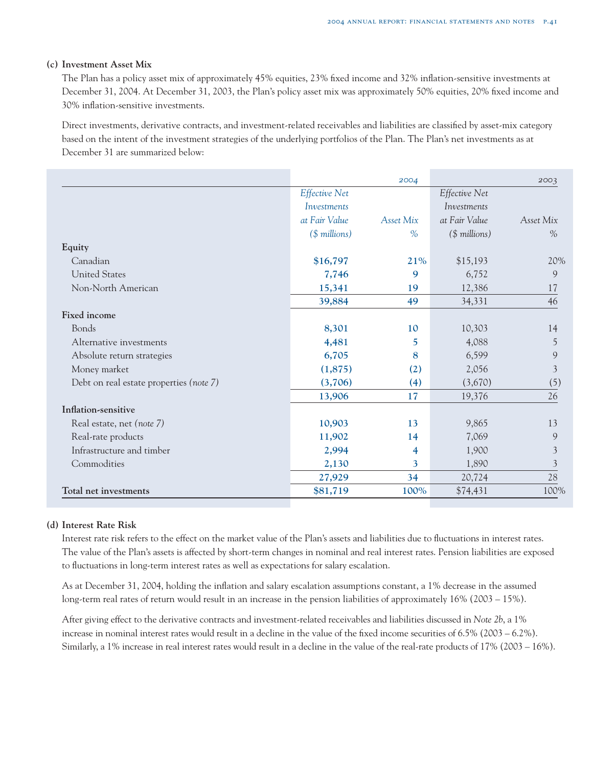#### **(c) Investment Asset Mix**

The Plan has a policy asset mix of approximately 45% equities, 23% fixed income and 32% inflation-sensitive investments at December 31, 2004. At December 31, 2003, the Plan's policy asset mix was approximately 50% equities, 20% fixed income and 30% inflation-sensitive investments.

Direct investments, derivative contracts, and investment-related receivables and liabilities are classified by asset-mix category based on the intent of the investment strategies of the underlying portfolios of the Plan. The Plan's net investments as at December 31 are summarized below:

|                                         |                      | 2004      |                | 2003           |
|-----------------------------------------|----------------------|-----------|----------------|----------------|
|                                         | <b>Effective Net</b> |           | Effective Net  |                |
|                                         | Investments          |           | Investments    |                |
|                                         | at Fair Value        | Asset Mix | at Fair Value  | Asset Mix      |
|                                         | $($$ millions)       | $\%$      | $($$ millions) | $\%$           |
| Equity                                  |                      |           |                |                |
| Canadian                                | \$16,797             | 21%       | \$15,193       | 20%            |
| <b>United States</b>                    | 7,746                | 9         | 6,752          | 9              |
| Non-North American                      | 15,341               | 19        | 12,386         | 17             |
|                                         | 39,884               | 49        | 34,331         | 46             |
| Fixed income                            |                      |           |                |                |
| Bonds                                   | 8,301                | 10        | 10,303         | 14             |
| Alternative investments                 | 4,481                | 5.        | 4,088          | 5              |
| Absolute return strategies              | 6,705                | 8         | 6,599          | 9              |
| Money market                            | (1,875)              | (2)       | 2,056          | $\mathfrak{Z}$ |
| Debt on real estate properties (note 7) | (3,706)              | (4)       | (3,670)        | (5)            |
|                                         | 13,906               | 17        | 19,376         | 26             |
| Inflation-sensitive                     |                      |           |                |                |
| Real estate, net (note 7)               | 10,903               | 13        | 9,865          | 13             |
| Real-rate products                      | 11,902               | 14        | 7,069          | 9              |
| Infrastructure and timber               | 2,994                | 4         | 1,900          | 3              |
| Commodities                             | 2,130                | 3         | 1,890          | $\mathfrak{Z}$ |
|                                         | 27,929               | 34        | 20,724         | 28             |
| Total net investments                   | \$81,719             | 100%      | \$74,431       | 100%           |

#### **(d) Interest Rate Risk**

Interest rate risk refers to the effect on the market value of the Plan's assets and liabilities due to fluctuations in interest rates. The value of the Plan's assets is affected by short-term changes in nominal and real interest rates. Pension liabilities are exposed to fluctuations in long-term interest rates as well as expectations for salary escalation.

As at December 31, 2004, holding the inflation and salary escalation assumptions constant, a 1% decrease in the assumed long-term real rates of return would result in an increase in the pension liabilities of approximately 16% (2003 – 15%).

After giving effect to the derivative contracts and investment-related receivables and liabilities discussed in *Note 2b*, a 1% increase in nominal interest rates would result in a decline in the value of the fixed income securities of 6.5% (2003 – 6.2%). Similarly, a 1% increase in real interest rates would result in a decline in the value of the real-rate products of 17% (2003 – 16%).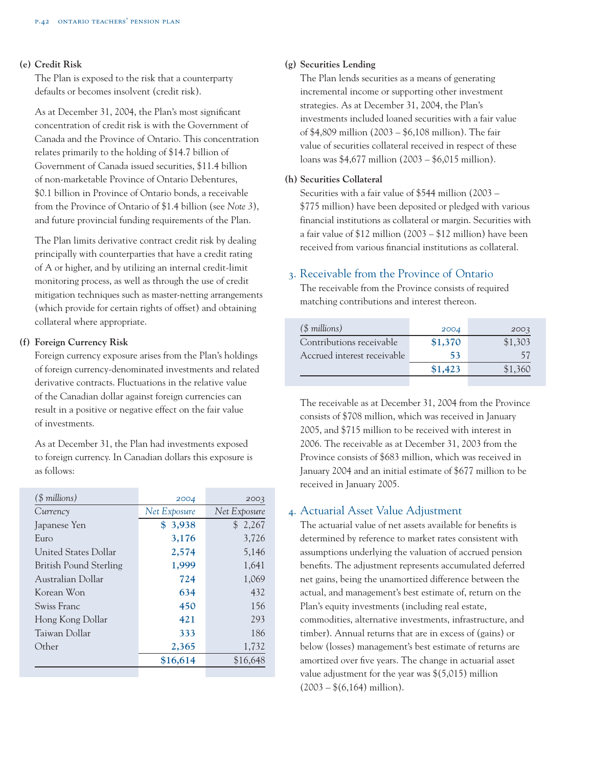#### **(e) Credit Risk**

The Plan is exposed to the risk that a counterparty defaults or becomes insolvent (credit risk).

As at December 31, 2004, the Plan's most significant concentration of credit risk is with the Government of Canada and the Province of Ontario. This concentration relates primarily to the holding of \$14.7 billion of Government of Canada issued securities, \$11.4 billion of non-marketable Province of Ontario Debentures, \$0.1 billion in Province of Ontario bonds, a receivable from the Province of Ontario of \$1.4 billion (see *Note 3*), and future provincial funding requirements of the Plan.

The Plan limits derivative contract credit risk by dealing principally with counterparties that have a credit rating of A or higher, and by utilizing an internal credit-limit monitoring process, as well as through the use of credit mitigation techniques such as master-netting arrangements (which provide for certain rights of offset) and obtaining collateral where appropriate.

#### **(f) Foreign Currency Risk**

Foreign currency exposure arises from the Plan's holdings of foreign currency-denominated investments and related derivative contracts. Fluctuations in the relative value of the Canadian dollar against foreign currencies can result in a positive or negative effect on the fair value of investments.

As at December 31, the Plan had investments exposed to foreign currency. In Canadian dollars this exposure is as follows:

| 2004         | 2003         |
|--------------|--------------|
| Net Exposure | Net Exposure |
| \$3,938      | \$2,267      |
| 3,176        | 3,726        |
| 2,574        | 5,146        |
| 1,999        | 1,641        |
| 724          | 1,069        |
| 634          | 432          |
| 450          | 156          |
| 421          | 293          |
| 333          | 186          |
| 2,365        | 1,732        |
| \$16,614     | \$16,648     |
|              |              |

# **(g) Securities Lending**

The Plan lends securities as a means of generating incremental income or supporting other investment strategies. As at December 31, 2004, the Plan's investments included loaned securities with a fair value of \$4,809 million (2003 – \$6,108 million). The fair value of securities collateral received in respect of these loans was \$4,677 million (2003 – \$6,015 million).

#### **(h) Securities Collateral**

Securities with a fair value of \$544 million (2003 – \$775 million) have been deposited or pledged with various financial institutions as collateral or margin. Securities with a fair value of \$12 million (2003 – \$12 million) have been received from various financial institutions as collateral.

## 3. Receivable from the Province of Ontario

The receivable from the Province consists of required matching contributions and interest thereon.

| $($$ millions)              | 2004    | 2003    |
|-----------------------------|---------|---------|
| Contributions receivable    | \$1,370 | \$1,303 |
| Accrued interest receivable | 53      | 57      |
|                             | \$1,423 | \$1,360 |

The receivable as at December 31, 2004 from the Province consists of \$708 million, which was received in January 2005, and \$715 million to be received with interest in 2006. The receivable as at December 31, 2003 from the Province consists of \$683 million, which was received in January 2004 and an initial estimate of \$677 million to be received in January 2005.

# 4. Actuarial Asset Value Adjustment

The actuarial value of net assets available for benefits is determined by reference to market rates consistent with assumptions underlying the valuation of accrued pension benefits. The adjustment represents accumulated deferred net gains, being the unamortized difference between the actual, and management's best estimate of, return on the Plan's equity investments (including real estate, commodities, alternative investments, infrastructure, and timber). Annual returns that are in excess of (gains) or below (losses) management's best estimate of returns are amortized over five years. The change in actuarial asset value adjustment for the year was \$(5,015) million  $(2003 - *(6,164)$  million).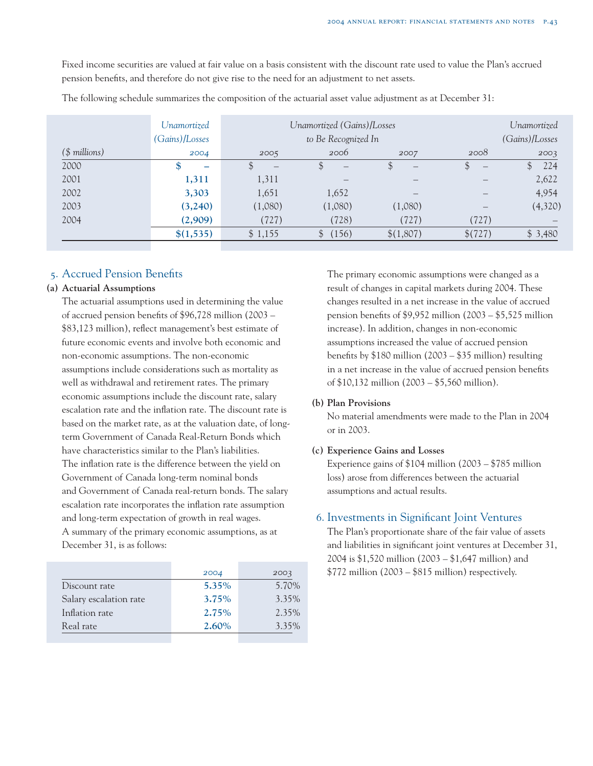Fixed income securities are valued at fair value on a basis consistent with the discount rate used to value the Plan's accrued pension benefits, and therefore do not give rise to the need for an adjustment to net assets.

|                | Unamortized<br>(Gains)/Losses |                                     | Unamortized (Gains)/Losses<br>to Be Recognized In |           |                         | Unamortized<br>(Gains)/Losses |
|----------------|-------------------------------|-------------------------------------|---------------------------------------------------|-----------|-------------------------|-------------------------------|
| $($$ millions) | 2004                          | 2005                                | 2006                                              | 2007      | 2008                    | 2003                          |
| 2000           | ж<br>-                        | $\mathfrak{L}$<br>$\qquad \qquad -$ | $\qquad \qquad -$                                 | \$        | .D<br>$\qquad \qquad -$ | 224<br>$\mathfrak{F}$         |
| 2001           | 1,311                         | 1,311                               |                                                   |           |                         | 2,622                         |
| 2002           | 3,303                         | 1,651                               | 1,652                                             |           |                         | 4,954                         |
| 2003           | (3,240)                       | (1,080)                             | (1,080)                                           | (1,080)   |                         | (4,320)                       |
| 2004           | (2,909)                       | (727)                               | (728)                                             | (727)     | (727)                   |                               |
|                | \$(1,535)                     | \$1,155                             | (156)                                             | \$(1,807) | \$(727)                 | \$3,480                       |

The following schedule summarizes the composition of the actuarial asset value adjustment as at December 31:

## 5. Accrued Pension Benefits

#### **(a) Actuarial Assumptions**

The actuarial assumptions used in determining the value of accrued pension benefits of \$96,728 million (2003 – \$83,123 million), reflect management's best estimate of future economic events and involve both economic and non-economic assumptions. The non-economic assumptions include considerations such as mortality as well as withdrawal and retirement rates. The primary economic assumptions include the discount rate, salary escalation rate and the inflation rate. The discount rate is based on the market rate, as at the valuation date, of longterm Government of Canada Real-Return Bonds which have characteristics similar to the Plan's liabilities. The inflation rate is the difference between the yield on Government of Canada long-term nominal bonds and Government of Canada real-return bonds. The salary escalation rate incorporates the inflation rate assumption and long-term expectation of growth in real wages. A summary of the primary economic assumptions, as at December 31, is as follows:

|                        | 2004     | 2003     |
|------------------------|----------|----------|
| Discount rate          | 5.35%    | 5.70%    |
| Salary escalation rate | 3.75%    | 3.35%    |
| Inflation rate         | 2.75%    | $2.35\%$ |
| Real rate              | $2.60\%$ | 3.35%    |
|                        |          |          |

The primary economic assumptions were changed as a result of changes in capital markets during 2004. These changes resulted in a net increase in the value of accrued pension benefits of \$9,952 million (2003 – \$5,525 million increase). In addition, changes in non-economic assumptions increased the value of accrued pension benefits by \$180 million (2003 – \$35 million) resulting in a net increase in the value of accrued pension benefits of \$10,132 million (2003 – \$5,560 million).

#### **(b) Plan Provisions**

No material amendments were made to the Plan in 2004 or in 2003.

#### **(c) Experience Gains and Losses**

Experience gains of \$104 million (2003 – \$785 million loss) arose from differences between the actuarial assumptions and actual results.

# 6. Investments in Significant Joint Ventures

The Plan's proportionate share of the fair value of assets and liabilities in significant joint ventures at December 31, 2004 is \$1,520 million (2003 – \$1,647 million) and \$772 million (2003 – \$815 million) respectively.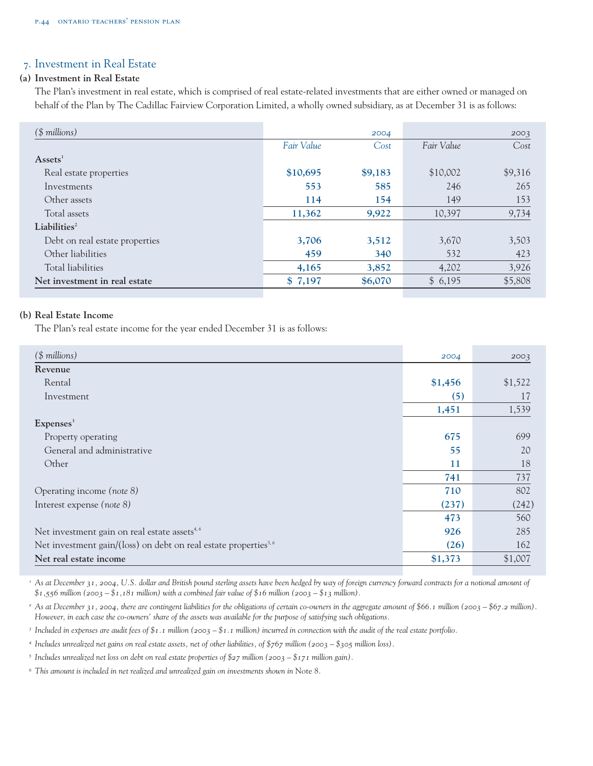# 7. Investment in Real Estate

#### **(a) Investment in Real Estate**

The Plan's investment in real estate, which is comprised of real estate-related investments that are either owned or managed on behalf of the Plan by The Cadillac Fairview Corporation Limited, a wholly owned subsidiary, as at December 31 is as follows:

| $($$ millions)                 |            | 2004    |            | 2003    |
|--------------------------------|------------|---------|------------|---------|
|                                | Fair Value | Cost    | Fair Value | Cost    |
| $\text{Assets}^1$              |            |         |            |         |
| Real estate properties         | \$10,695   | \$9,183 | \$10,002   | \$9,316 |
| Investments                    | 553        | 585     | 246        | 265     |
| Other assets                   | 114        | 154     | 149        | 153     |
| Total assets                   | 11,362     | 9,922   | 10,397     | 9,734   |
| Liabilities <sup>2</sup>       |            |         |            |         |
| Debt on real estate properties | 3,706      | 3,512   | 3,670      | 3,503   |
| Other liabilities              | 459        | 340     | 532        | 423     |
| Total liabilities              | 4,165      | 3,852   | 4,202      | 3,926   |
| Net investment in real estate  | \$7,197    | \$6,070 | \$6,195    | \$5,808 |

# **(b) Real Estate Income**

The Plan's real estate income for the year ended December 31 is as follows:

| $($$ millions)                                                              | 2004    | 2003    |
|-----------------------------------------------------------------------------|---------|---------|
| Revenue                                                                     |         |         |
| Rental                                                                      | \$1,456 | \$1,522 |
| Investment                                                                  | (5)     | 17      |
|                                                                             | 1,451   | 1,539   |
| Expenses <sup>3</sup>                                                       |         |         |
| Property operating                                                          | 675     | 699     |
| General and administrative                                                  | 55      | 20      |
| Other                                                                       | 11      | 18      |
|                                                                             | 741     | 737     |
| Operating income (note 8)                                                   | 710     | 802     |
| Interest expense (note 8)                                                   | (237)   | (242)   |
|                                                                             | 473     | 560     |
| Net investment gain on real estate assets <sup>4,6</sup>                    | 926     | 285     |
| Net investment gain/(loss) on debt on real estate properties <sup>5,6</sup> | (26)    | 162     |
| Net real estate income                                                      | \$1,373 | \$1,007 |
|                                                                             |         |         |

*<sup>1</sup> As at December 31, 2004, U.S. dollar and British pound sterling assets have been hedged by way of foreign currency forward contracts for a notional amount of*  $$1,556$  million (2003 –  $$1,181$  million) with a combined fair value of  $$16$  million (2003 –  $$13$  million).

<sup>2</sup> As at December 31, 2004, there are contingent liabilities for the obligations of certain co-owners in the aggregate amount of \$66.1 million (2003 – \$67.2 million). *However, in each case the co-owners' share of the assets was available for the purpose of satisfying such obligations.* 

*<sup>3</sup> Included in expenses are audit fees of \$1.1 million (2003 – \$1.1 million) incurred in connection with the audit of the real estate portfolio.*

*<sup>4</sup> Includes unrealized net gains on real estate assets, net of other liabilities, of \$767 million (2003 – \$305 million loss).* 

*<sup>5</sup> Includes unrealized net loss on debt on real estate properties of \$27 million (2003 – \$171 million gain).* 

*<sup>6</sup> This amount is included in net realized and unrealized gain on investments shown in* Note 8*.*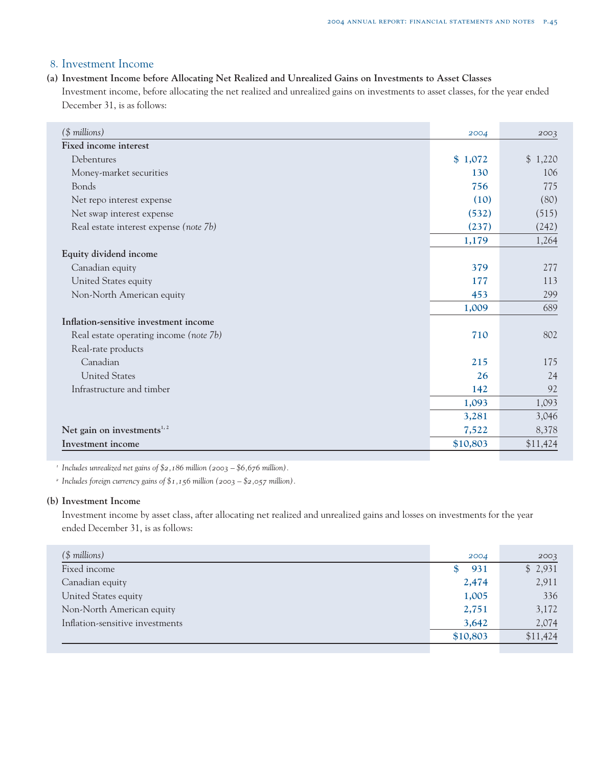# 8. Investment Income

#### **(a) Investment Income before Allocating Net Realized and Unrealized Gains on Investments to Asset Classes**

Investment income, before allocating the net realized and unrealized gains on investments to asset classes, for the year ended December 31, is as follows:

| $($$ millions)                          | 2004     | 2003     |
|-----------------------------------------|----------|----------|
| Fixed income interest                   |          |          |
| Debentures                              | \$1,072  | \$1,220  |
| Money-market securities                 | 130      | 106      |
| Bonds                                   | 756      | 775      |
| Net repo interest expense               | (10)     | (80)     |
| Net swap interest expense               | (532)    | (515)    |
| Real estate interest expense (note 7b)  | (237)    | (242)    |
|                                         | 1,179    | 1,264    |
| Equity dividend income                  |          |          |
| Canadian equity                         | 379      | 277      |
| United States equity                    | 177      | 113      |
| Non-North American equity               | 453      | 299      |
|                                         | 1,009    | 689      |
| Inflation-sensitive investment income   |          |          |
| Real estate operating income (note 7b)  | 710      | 802      |
| Real-rate products                      |          |          |
| Canadian                                | 215      | 175      |
| <b>United States</b>                    | 26       | 24       |
| Infrastructure and timber               | 142      | 92       |
|                                         | 1,093    | 1,093    |
|                                         | 3,281    | 3,046    |
| Net gain on investments <sup>1, 2</sup> | 7,522    | 8,378    |
| Investment income                       | \$10,803 | \$11,424 |

*<sup>1</sup> Includes unrealized net gains of \$2,186 million (2003 – \$6,676 million).*

*<sup>2</sup> Includes foreign currency gains of \$1,156 million (2003 – \$2,057 million).*

#### **(b) Investment Income**

Investment income by asset class, after allocating net realized and unrealized gains and losses on investments for the year ended December 31, is as follows:

| $($$ millions)                  | 2004     | 2003     |
|---------------------------------|----------|----------|
| Fixed income                    | 931      | \$2,931  |
| Canadian equity                 | 2,474    | 2,911    |
| United States equity            | 1,005    | 336      |
| Non-North American equity       | 2,751    | 3,172    |
| Inflation-sensitive investments | 3,642    | 2,074    |
|                                 | \$10,803 | \$11,424 |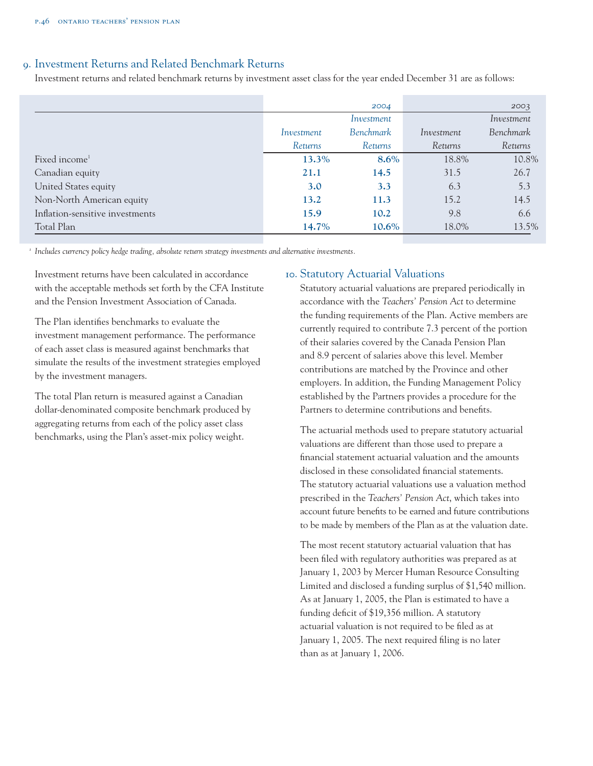# 9. Investment Returns and Related Benchmark Returns

Investment returns and related benchmark returns by investment asset class for the year ended December 31 are as follows:

|                                 |            | 2004           |                | 2003           |
|---------------------------------|------------|----------------|----------------|----------------|
|                                 |            | Investment     |                | Investment     |
|                                 | Investment | Benchmark      | Investment     | Benchmark      |
|                                 | Returns    | <b>Returns</b> | <b>Returns</b> | <i>Returns</i> |
| Fixed income <sup>1</sup>       | 13.3%      | $8.6\%$        | 18.8%          | 10.8%          |
| Canadian equity                 | 21.1       | 14.5           | 31.5           | 26.7           |
| United States equity            | 3.0        | 3.3            | 6.3            | 5.3            |
| Non-North American equity       | 13.2       | 11.3           | 15.2           | 14.5           |
| Inflation-sensitive investments | 15.9       | 10.2           | 9.8            | 6.6            |
| Total Plan                      | 14.7%      | 10.6%          | 18.0%          | 13.5%          |

*<sup>1</sup> Includes currency policy hedge trading, absolute return strategy investments and alternative investments.*

Investment returns have been calculated in accordance with the acceptable methods set forth by the CFA Institute and the Pension Investment Association of Canada.

The Plan identifies benchmarks to evaluate the investment management performance. The performance of each asset class is measured against benchmarks that simulate the results of the investment strategies employed by the investment managers.

The total Plan return is measured against a Canadian dollar-denominated composite benchmark produced by aggregating returns from each of the policy asset class benchmarks, using the Plan's asset-mix policy weight.

# 10. Statutory Actuarial Valuations

Statutory actuarial valuations are prepared periodically in accordance with the *Teachers' Pension Act* to determine the funding requirements of the Plan. Active members are currently required to contribute 7.3 percent of the portion of their salaries covered by the Canada Pension Plan and 8.9 percent of salaries above this level. Member contributions are matched by the Province and other employers. In addition, the Funding Management Policy established by the Partners provides a procedure for the Partners to determine contributions and benefits.

The actuarial methods used to prepare statutory actuarial valuations are different than those used to prepare a financial statement actuarial valuation and the amounts disclosed in these consolidated financial statements. The statutory actuarial valuations use a valuation method prescribed in the *Teachers' Pension Act*, which takes into account future benefits to be earned and future contributions to be made by members of the Plan as at the valuation date.

The most recent statutory actuarial valuation that has been filed with regulatory authorities was prepared as at January 1, 2003 by Mercer Human Resource Consulting Limited and disclosed a funding surplus of \$1,540 million. As at January 1, 2005, the Plan is estimated to have a funding deficit of \$19,356 million. A statutory actuarial valuation is not required to be filed as at January 1, 2005. The next required filing is no later than as at January 1, 2006.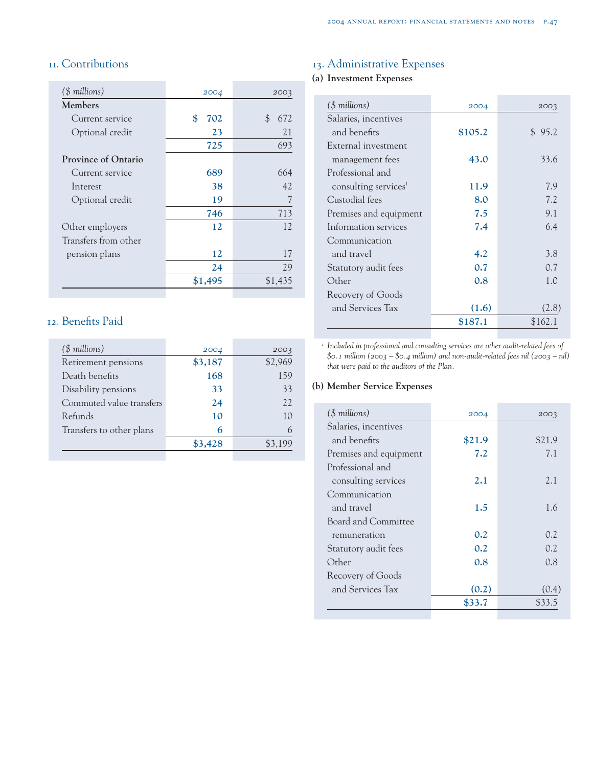# 11. Contributions

| $($$ millions)             | 2004      | 2003               |
|----------------------------|-----------|--------------------|
| <b>Members</b>             |           |                    |
| Current service            | \$<br>702 | $\mathbb S$<br>672 |
| Optional credit            | 23        | 21                 |
|                            | 725       | 693                |
| <b>Province of Ontario</b> |           |                    |
| Current service            | 689       | 664                |
| Interest                   | 38        | 42                 |
| Optional credit            | 19        |                    |
|                            | 746       | 713                |
| Other employers            | 12        | 12.                |
| Transfers from other       |           |                    |
| pension plans              | 12        | 17                 |
|                            | 24        | 29                 |
|                            | \$1,495   | \$1,435            |
|                            |           |                    |

# 12. Benefits Paid

| $($$ millions)           | 2004    | 2003    |
|--------------------------|---------|---------|
| Retirement pensions      | \$3,187 | \$2,969 |
| Death benefits           | 168     | 159     |
| Disability pensions      | 33      | 33      |
| Commuted value transfers | 24      | 22      |
| Refunds                  | 10      | 10      |
| Transfers to other plans | 6       | 6       |
|                          | \$3,428 | \$3,199 |
|                          |         |         |

# 13. Administrative Expenses

# **(a) Investment Expenses**

| (\$ millions)                    | 2004    | 2003    |
|----------------------------------|---------|---------|
| Salaries, incentives             |         |         |
| and benefits                     | \$105.2 | \$95.2  |
| External investment              |         |         |
| management fees                  | 43.0    | 33.6    |
| Professional and                 |         |         |
| consulting services <sup>1</sup> | 11.9    | 7.9     |
| Custodial fees                   | 8.0     | 7.2     |
| Premises and equipment           | 7.5     | 9.1     |
| Information services             | 7.4     | 6.4     |
| Communication                    |         |         |
| and travel                       | 4.2     | 3.8     |
| Statutory audit fees             | 0.7     | 0.7     |
| Other                            | 0.8     | 1.0     |
| Recovery of Goods                |         |         |
| and Services Tax                 | (1.6)   | (2.8)   |
|                                  | \$187.1 | \$162.1 |

*<sup>1</sup> Included in professional and consulting services are other audit-related fees of \$0.1 million (2003 – \$0.4 million) and non-audit-related fees nil (2003 – nil) that were paid to the auditors of the Plan.*

### **(b) Member Service Expenses**

| (\$ millions)          | 2004   | 2003   |
|------------------------|--------|--------|
| Salaries, incentives   |        |        |
| and benefits           | \$21.9 | \$21.9 |
| Premises and equipment | 7.2    | 7.1    |
| Professional and       |        |        |
| consulting services    | 2.1    | 2.1    |
| Communication          |        |        |
| and travel             | 1.5    | 1.6    |
| Board and Committee    |        |        |
| remuneration           | 0.2    | 0.2    |
| Statutory audit fees   | 0.2    | 0.2    |
| Other                  | 0.8    | 0.8    |
| Recovery of Goods      |        |        |
| and Services Tax       | (0.2)  | (0.4)  |
|                        | \$33.7 | \$33.5 |
|                        |        |        |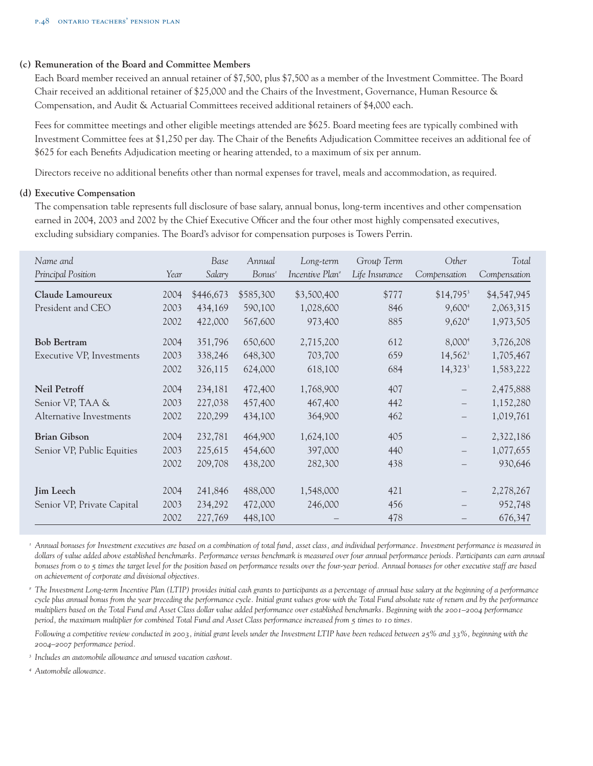#### **(c) Remuneration of the Board and Committee Members**

Each Board member received an annual retainer of \$7,500, plus \$7,500 as a member of the Investment Committee. The Board Chair received an additional retainer of \$25,000 and the Chairs of the Investment, Governance, Human Resource & Compensation, and Audit & Actuarial Committees received additional retainers of \$4,000 each.

Fees for committee meetings and other eligible meetings attended are \$625. Board meeting fees are typically combined with Investment Committee fees at \$1,250 per day. The Chair of the Benefits Adjudication Committee receives an additional fee of \$625 for each Benefits Adjudication meeting or hearing attended, to a maximum of six per annum.

Directors receive no additional benefits other than normal expenses for travel, meals and accommodation, as required.

#### **(d) Executive Compensation**

The compensation table represents full disclosure of base salary, annual bonus, long-term incentives and other compensation earned in 2004, 2003 and 2002 by the Chief Executive Officer and the four other most highly compensated executives, excluding subsidiary companies. The Board's advisor for compensation purposes is Towers Perrin.

| Name and<br>Principal Position |      | Base<br>Salary | Annual             | Long-term<br>Incentive Plan <sup>2</sup> | Group Term     | Other                  | Total        |
|--------------------------------|------|----------------|--------------------|------------------------------------------|----------------|------------------------|--------------|
|                                | Year |                | Bonus <sup>1</sup> |                                          | Life Insurance | Compensation           | Compensation |
| Claude Lamoureux               | 2004 | \$446,673      | \$585,300          | \$3,500,400                              | \$777          | $$14,795$ <sup>3</sup> | \$4,547,945  |
| President and CEO              | 2003 | 434,169        | 590,100            | 1,028,600                                | 846            | 9,600 <sup>4</sup>     | 2,063,315    |
|                                | 2002 | 422,000        | 567,600            | 973,400                                  | 885            | 9,620 <sup>4</sup>     | 1,973,505    |
| <b>Bob Bertram</b>             | 2004 | 351,796        | 650,600            | 2,715,200                                | 612            | 8,000 <sup>4</sup>     | 3,726,208    |
| Executive VP, Investments      | 2003 | 338,246        | 648,300            | 703,700                                  | 659            | $14,562^3$             | 1,705,467    |
|                                | 2002 | 326,115        | 624,000            | 618,100                                  | 684            | $14,323^3$             | 1,583,222    |
| <b>Neil Petroff</b>            | 2004 | 234,181        | 472,400            | 1,768,900                                | 407            | $\qquad \qquad -$      | 2,475,888    |
| Senior VP, TAA &               | 2003 | 227,038        | 457,400            | 467,400                                  | 442            | $\qquad \qquad -$      | 1,152,280    |
| Alternative Investments        | 2002 | 220,299        | 434,100            | 364,900                                  | 462            |                        | 1,019,761    |
| <b>Brian Gibson</b>            | 2004 | 232,781        | 464,900            | 1,624,100                                | 405            | $\qquad \qquad -$      | 2,322,186    |
| Senior VP, Public Equities     | 2003 | 225,615        | 454,600            | 397,000                                  | 440            | $\qquad \qquad -$      | 1,077,655    |
|                                | 2002 | 209,708        | 438,200            | 282,300                                  | 438            |                        | 930,646      |
| <b>Jim Leech</b>               | 2004 | 241,846        | 488,000            | 1,548,000                                | 421            |                        | 2,278,267    |
| Senior VP, Private Capital     | 2003 | 234,292        | 472,000            | 246,000                                  | 456            |                        | 952,748      |
|                                | 2002 | 227,769        | 448,100            |                                          | 478            |                        | 676,347      |

*<sup>1</sup> Annual bonuses for Investment executives are based on a combination of total fund, asset class, and individual performance. Investment performance is measured in dollars of value added above established benchmarks. Performance versus benchmark is measured over four annual performance periods. Participants can earn annual bonuses from 0 to 5 times the target level for the position based on performance results over the four-year period. Annual bonuses for other executive staff are based on achievement of corporate and divisional objectives.*

*<sup>2</sup> The Investment Long-term Incentive Plan (LTIP) provides initial cash grants to participants as a percentage of annual base salary at the beginning of a performance cycle plus annual bonus from the year preceding the performance cycle. Initial grant values grow with the Total Fund absolute rate of return and by the performance multipliers based on the Total Fund and Asset Class dollar value added performance over established benchmarks. Beginning with the 2001–2004 performance period, the maximum multiplier for combined Total Fund and Asset Class performance increased from 5 times to 10 times.*

*Following a competitive review conducted in 2003, initial grant levels under the Investment LTIP have been reduced between 25% and 33%, beginning with the 2004–2007 performance period.*

*<sup>3</sup> Includes an automobile allowance and unused vacation cashout.*

*<sup>4</sup> Automobile allowance.*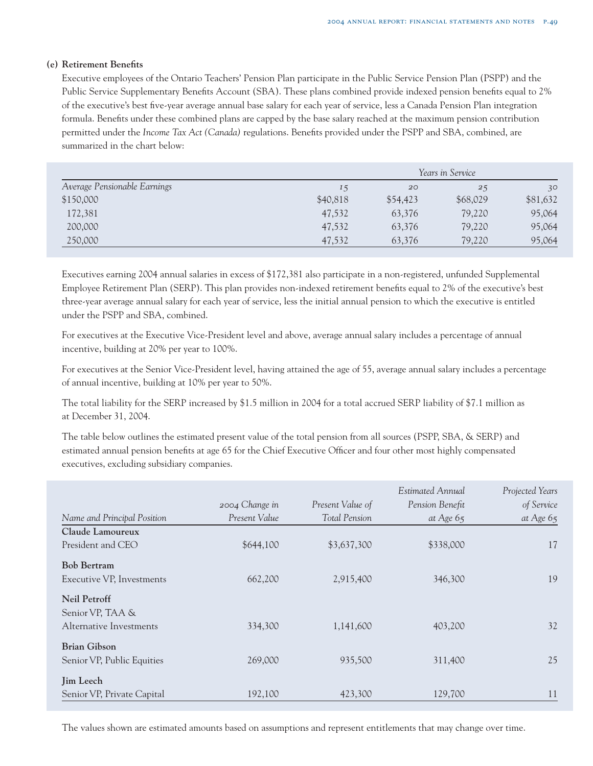#### **(e) Retirement Benefits**

Executive employees of the Ontario Teachers' Pension Plan participate in the Public Service Pension Plan (PSPP) and the Public Service Supplementary Benefits Account (SBA). These plans combined provide indexed pension benefits equal to 2% of the executive's best five-year average annual base salary for each year of service, less a Canada Pension Plan integration formula. Benefits under these combined plans are capped by the base salary reached at the maximum pension contribution permitted under the *Income Tax Act (Canada)* regulations. Benefits provided under the PSPP and SBA, combined, are summarized in the chart below:

|                              | Years in Service |          |          |          |
|------------------------------|------------------|----------|----------|----------|
| Average Pensionable Earnings | 15               | 20       | 25       | 30       |
| \$150,000                    | \$40,818         | \$54,423 | \$68,029 | \$81,632 |
| 172,381                      | 47,532           | 63,376   | 79,220   | 95,064   |
| 200,000                      | 47,532           | 63,376   | 79,220   | 95,064   |
| 250,000                      | 47,532           | 63,376   | 79,220   | 95,064   |

Executives earning 2004 annual salaries in excess of \$172,381 also participate in a non-registered, unfunded Supplemental Employee Retirement Plan (SERP). This plan provides non-indexed retirement benefits equal to 2% of the executive's best three-year average annual salary for each year of service, less the initial annual pension to which the executive is entitled under the PSPP and SBA, combined.

For executives at the Executive Vice-President level and above, average annual salary includes a percentage of annual incentive, building at 20% per year to 100%.

For executives at the Senior Vice-President level, having attained the age of 55, average annual salary includes a percentage of annual incentive, building at 10% per year to 50%.

The total liability for the SERP increased by \$1.5 million in 2004 for a total accrued SERP liability of \$7.1 million as at December 31, 2004.

The table below outlines the estimated present value of the total pension from all sources (PSPP, SBA, & SERP) and estimated annual pension benefits at age 65 for the Chief Executive Officer and four other most highly compensated executives, excluding subsidiary companies.

|                                         | 2004 Change in | Present Value of     | Estimated Annual<br>Pension Benefit | Projected Years<br>of Service |
|-----------------------------------------|----------------|----------------------|-------------------------------------|-------------------------------|
| Name and Principal Position             | Present Value  | <b>Total Pension</b> | at Age $65$                         | at Age $65$                   |
| Claude Lamoureux                        |                |                      |                                     |                               |
| President and CEO                       | \$644,100      | \$3,637,300          | \$338,000                           | 17                            |
| <b>Bob Bertram</b>                      |                |                      |                                     |                               |
| Executive VP, Investments               | 662,200        | 2,915,400            | 346,300                             | 19                            |
| <b>Neil Petroff</b><br>Senior VP, TAA & |                |                      |                                     |                               |
| Alternative Investments                 | 334,300        | 1,141,600            | 403,200                             | 32                            |
| <b>Brian Gibson</b>                     |                |                      |                                     |                               |
| Senior VP, Public Equities              | 269,000        | 935,500              | 311,400                             | 25                            |
| <b>Jim Leech</b>                        |                |                      |                                     |                               |
| Senior VP, Private Capital              | 192,100        | 423,300              | 129,700                             | 11                            |

The values shown are estimated amounts based on assumptions and represent entitlements that may change over time.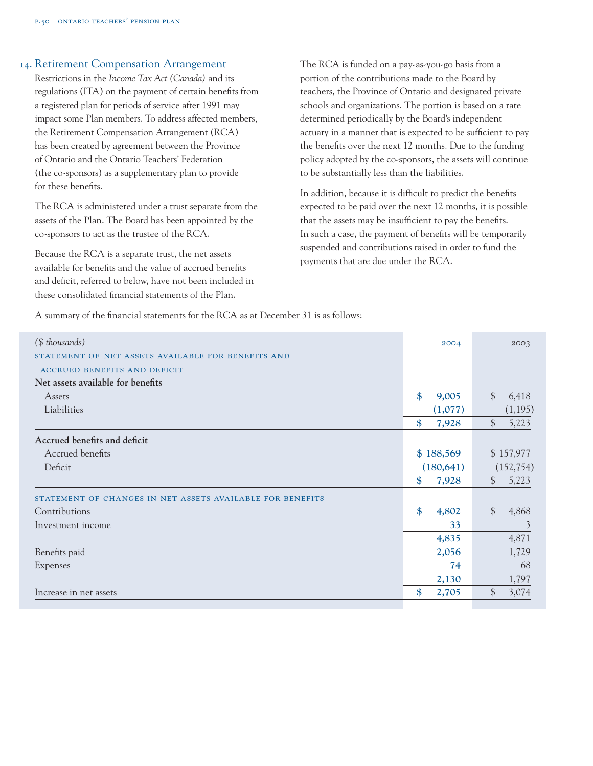### 14. Retirement Compensation Arrangement

Restrictions in the *Income Tax Act (Canada)* and its regulations (ITA) on the payment of certain benefits from a registered plan for periods of service after 1991 may impact some Plan members. To address affected members, the Retirement Compensation Arrangement (RCA) has been created by agreement between the Province of Ontario and the Ontario Teachers' Federation (the co-sponsors) as a supplementary plan to provide for these benefits.

The RCA is administered under a trust separate from the assets of the Plan. The Board has been appointed by the co-sponsors to act as the trustee of the RCA.

Because the RCA is a separate trust, the net assets available for benefits and the value of accrued benefits and deficit, referred to below, have not been included in these consolidated financial statements of the Plan.

The RCA is funded on a pay-as-you-go basis from a portion of the contributions made to the Board by teachers, the Province of Ontario and designated private schools and organizations. The portion is based on a rate determined periodically by the Board's independent actuary in a manner that is expected to be sufficient to pay the benefits over the next 12 months. Due to the funding policy adopted by the co-sponsors, the assets will continue to be substantially less than the liabilities.

In addition, because it is difficult to predict the benefits expected to be paid over the next 12 months, it is possible that the assets may be insufficient to pay the benefits. In such a case, the payment of benefits will be temporarily suspended and contributions raised in order to fund the payments that are due under the RCA.

A summary of the financial statements for the RCA as at December 31 is as follows:

| (\$ thousands)                                            |           | 2004       |               | 2003       |  |
|-----------------------------------------------------------|-----------|------------|---------------|------------|--|
| STATEMENT OF NET ASSETS AVAILABLE FOR BENEFITS AND        |           |            |               |            |  |
| <b>ACCRUED BENEFITS AND DEFICIT</b>                       |           |            |               |            |  |
| Net assets available for benefits                         |           |            |               |            |  |
| Assets                                                    | \$        | 9,005      | $\mathcal{S}$ | 6,418      |  |
| Liabilities                                               |           | (1,077)    |               | (1,195)    |  |
|                                                           | \$        | 7,928      | $\frac{1}{2}$ | 5,223      |  |
| Accrued benefits and deficit                              |           |            |               |            |  |
| Accrued benefits                                          | \$188,569 |            | \$157,977     |            |  |
| Deficit                                                   |           | (180, 641) |               | (152, 754) |  |
|                                                           | \$        | 7,928      | $\frac{1}{2}$ | 5,223      |  |
| STATEMENT OF CHANGES IN NET ASSETS AVAILABLE FOR BENEFITS |           |            |               |            |  |
| Contributions                                             | \$        | 4,802      | $\frac{1}{2}$ | 4,868      |  |
| Investment income                                         |           | 33         |               | 3          |  |
|                                                           |           | 4,835      |               | 4,871      |  |
| Benefits paid                                             |           | 2,056      |               | 1,729      |  |
| Expenses                                                  |           | 74         |               | 68         |  |
|                                                           |           | 2,130      |               | 1,797      |  |
| Increase in net assets                                    | \$        | 2,705      | \$            | 3,074      |  |
|                                                           |           |            |               |            |  |